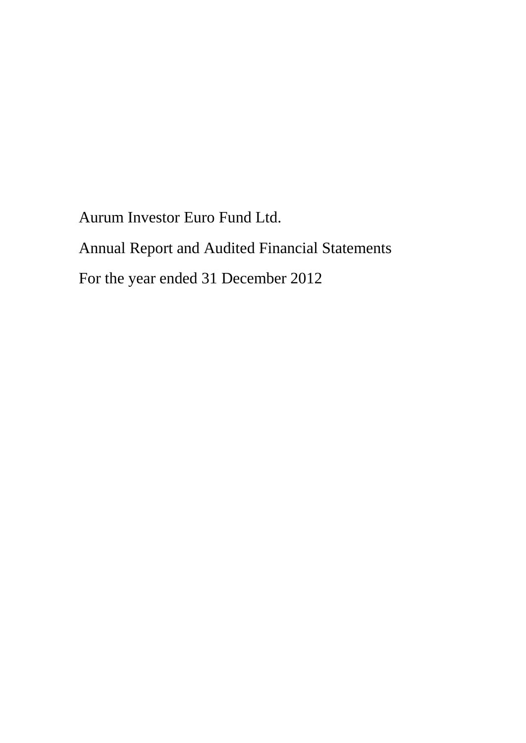Aurum Investor Euro Fund Ltd. Annual Report and Audited Financial Statements For the year ended 31 December 2012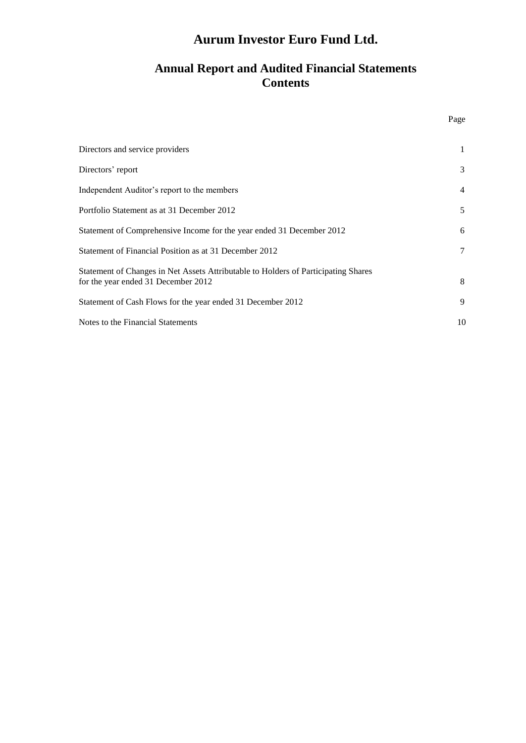# **Annual Report and Audited Financial Statements Contents**

| Directors and service providers                                                                                           | $\mathbf{1}$   |
|---------------------------------------------------------------------------------------------------------------------------|----------------|
| Directors' report                                                                                                         | 3              |
| Independent Auditor's report to the members                                                                               | $\overline{4}$ |
| Portfolio Statement as at 31 December 2012                                                                                | 5              |
| Statement of Comprehensive Income for the year ended 31 December 2012                                                     | 6              |
| Statement of Financial Position as at 31 December 2012                                                                    | $\tau$         |
| Statement of Changes in Net Assets Attributable to Holders of Participating Shares<br>for the year ended 31 December 2012 | 8              |
| Statement of Cash Flows for the year ended 31 December 2012                                                               | 9              |
| Notes to the Financial Statements                                                                                         | 10             |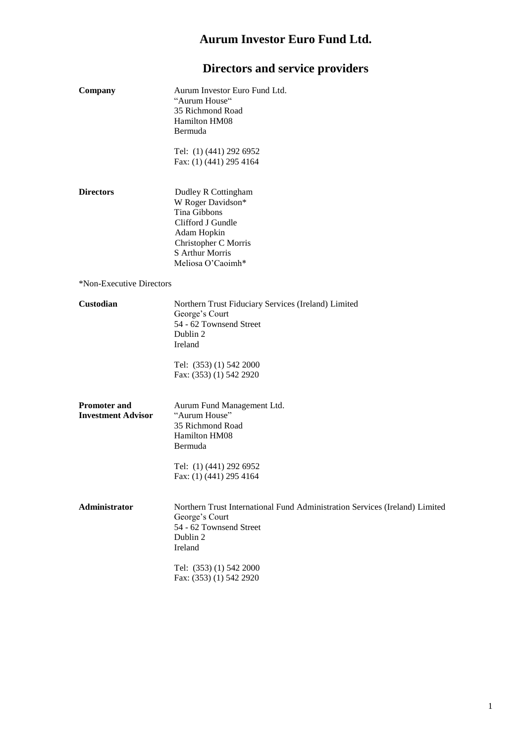# **Directors and service providers**

| Company                                          | Aurum Investor Euro Fund Ltd.<br>"Aurum House"<br>35 Richmond Road<br>Hamilton HM08<br>Bermuda                                                                                                        |
|--------------------------------------------------|-------------------------------------------------------------------------------------------------------------------------------------------------------------------------------------------------------|
|                                                  | Tel: (1) (441) 292 6952<br>Fax: (1) (441) 295 4164                                                                                                                                                    |
| <b>Directors</b>                                 | Dudley R Cottingham<br>W Roger Davidson*<br><b>Tina Gibbons</b><br>Clifford J Gundle<br>Adam Hopkin<br>Christopher C Morris<br><b>S</b> Arthur Morris<br>Meliosa O'Caoimh*                            |
| *Non-Executive Directors                         |                                                                                                                                                                                                       |
| <b>Custodian</b>                                 | Northern Trust Fiduciary Services (Ireland) Limited<br>George's Court<br>54 - 62 Townsend Street<br>Dublin 2<br>Ireland<br>Tel: (353) (1) 542 2000<br>Fax: (353) (1) 542 2920                         |
| <b>Promoter and</b><br><b>Investment Advisor</b> | Aurum Fund Management Ltd.<br>"Aurum House"<br>35 Richmond Road<br>Hamilton HM08<br>Bermuda<br>Tel: (1) (441) 292 6952<br>Fax: (1) (441) 295 4164                                                     |
| Administrator                                    | Northern Trust International Fund Administration Services (Ireland) Limited<br>George's Court<br>54 - 62 Townsend Street<br>Dublin 2<br>Ireland<br>Tel: (353) (1) 542 2000<br>Fax: (353) (1) 542 2920 |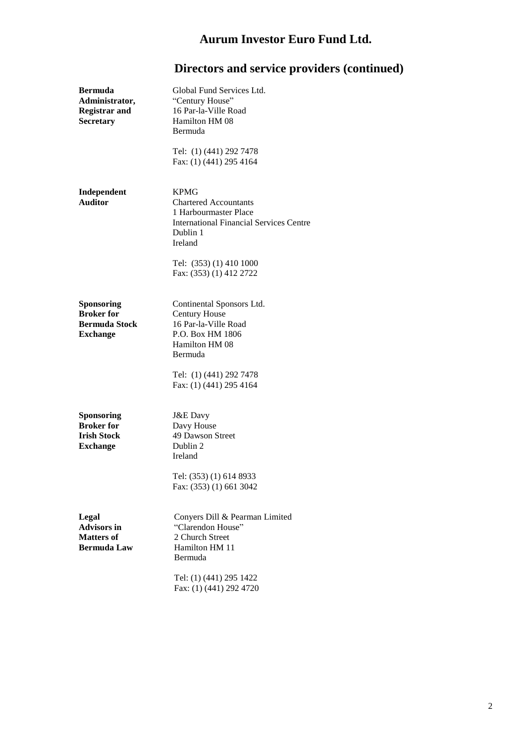| <b>Bermuda</b><br>Administrator,<br><b>Registrar and</b><br>Secretary             | Global Fund Services Ltd.<br>"Century House"<br>16 Par-la-Ville Road<br>Hamilton HM 08<br>Bermuda<br>Tel: (1) (441) 292 7478<br>Fax: (1) (441) 295 4164                                             |
|-----------------------------------------------------------------------------------|-----------------------------------------------------------------------------------------------------------------------------------------------------------------------------------------------------|
| Independent<br><b>Auditor</b>                                                     | <b>KPMG</b><br><b>Chartered Accountants</b><br>1 Harbourmaster Place<br><b>International Financial Services Centre</b><br>Dublin 1<br>Ireland<br>Tel: (353) (1) 410 1000<br>Fax: (353) (1) 412 2722 |
| <b>Sponsoring</b><br><b>Broker</b> for<br><b>Bermuda Stock</b><br><b>Exchange</b> | Continental Sponsors Ltd.<br><b>Century House</b><br>16 Par-la-Ville Road<br>P.O. Box HM 1806<br>Hamilton HM 08<br>Bermuda<br>Tel: (1) (441) 292 7478<br>Fax: (1) (441) 295 4164                    |
| <b>Sponsoring</b><br><b>Broker</b> for<br><b>Irish Stock</b><br><b>Exchange</b>   | <b>J&amp;E</b> Davy<br>Davy House<br>49 Dawson Street<br>Dublin 2<br>Ireland<br>Tel: (353) (1) 614 8933<br>Fax: (353) (1) 661 3042                                                                  |
| Legal<br><b>Advisors in</b><br><b>Matters of</b><br><b>Bermuda Law</b>            | Conyers Dill & Pearman Limited<br>"Clarendon House"<br>2 Church Street<br>Hamilton HM 11<br>Bermuda<br>Tel: (1) (441) 295 1422<br>Fax: (1) (441) 292 4720                                           |

# **Directors and service providers (continued)**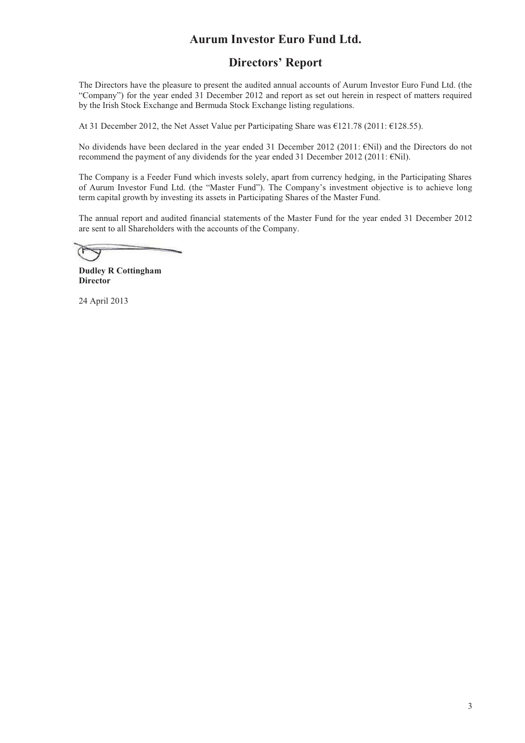### **Directors' Report**

The Directors have the pleasure to present the audited annual accounts of Aurum Investor Euro Fund Ltd. (the "Company") for the year ended 31 December 2012 and report as set out herein in respect of matters required by the Irish Stock Exchange and Bermuda Stock Exchange listing regulations.

At 31 December 2012, the Net Asset Value per Participating Share was €121.78 (2011: €128.55).

No dividends have been declared in the year ended 31 December 2012 (2011: €Nil) and the Directors do not recommend the payment of any dividends for the year ended 31 December 2012 (2011: €Nil).

The Company is a Feeder Fund which invests solely, apart from currency hedging, in the Participating Shares of Aurum Investor Fund Ltd. (the "Master Fund"). The Company's investment objective is to achieve long term capital growth by investing its assets in Participating Shares of the Master Fund.

The annual report and audited financial statements of the Master Fund for the year ended 31 December 2012 are sent to all Shareholders with the accounts of the Company.

**Dudley R Cottingham Director** 

24 April 2013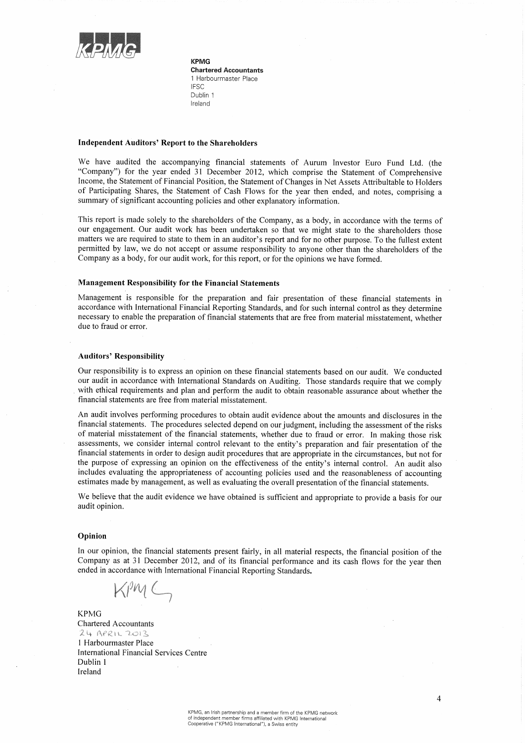

**KPMG Chartered Accountants** 1 Harbourmaster Place **IFSC** Dublin 1 Ireland

#### **Independent Auditors' Report to the Shareholders**

We have audited the accompanying financial statements of Aurum Investor Euro Fund Ltd. (the "Company") for the year ended 31 December 2012, which comprise the Statement of Comprehensive Income, the Statement of Financial Position, the Statement of Changes in Net Assets Attribultable to Holders of Participating Shares, the Statement of Cash Flows for the year then ended, and notes, comprising a summary of significant accounting policies and other explanatory information.

This report is made solely to the shareholders of the Company, as a body, in accordance with the terms of our engagement. Our audit work has been undertaken so that we might state to the shareholders those matters we are required to state to them in an auditor's report and for no other purpose. To the fullest extent permitted by law, we do not accept or assume responsibility to anyone other than the shareholders of the Company as a body, for our audit work, for this report, or for the opinions we have formed.

#### **Management Responsibility for the Financial Statements**

Management is responsible for the preparation and fair presentation of these financial statements in accordance with International Financial Reporting Standards, and for such internal control as they determine necessary to enable the preparation of financial statements that are free from material misstatement, whether due to fraud or error.

#### **Auditors' Responsibility**

Our responsibility is to express an opinion on these financial statements based on our audit. We conducted our audit in accordance with International Standards on Auditing. Those standards require that we comply with ethical requirements and plan and perform the audit to obtain reasonable assurance about whether the financial statements are free from material misstatement.

An audit involves performing procedures to obtain audit evidence about the amounts and disclosures in the financial statements. The procedures selected depend on our judgment, including the assessment of the risks of material misstatement of the financial statements, whether due to fraud or error. In making those risk assessments, we consider internal control relevant to the entity's preparation and fair presentation of the financial statements in order to design audit procedures that are appropriate in the circumstances, but not for the purpose of expressing an opinion on the effectiveness of the entity's internal control. An audit also includes evaluating the appropriateness of accounting policies used and the reasonableness of accounting estimates made by management, as well as evaluating the overall presentation of the financial statements.

We believe that the audit evidence we have obtained is sufficient and appropriate to provide a basis for our audit opinion.

#### Opinion

In our opinion, the financial statements present fairly, in all material respects, the financial position of the Company as at 31 December 2012, and of its financial performance and its cash flows for the year then ended in accordance with International Financial Reporting Standards.

 $K$ p $M$ 

**KPMG Chartered Accountants** 24 APRIL 2013 1 Harbourmaster Place International Financial Services Centre Dublin 1 Ireland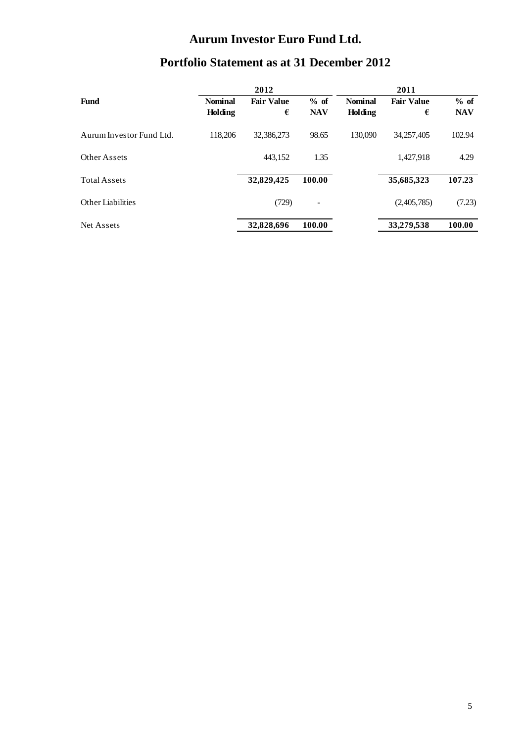|  | <b>Portfolio Statement as at 31 December 2012</b> |  |  |  |
|--|---------------------------------------------------|--|--|--|
|--|---------------------------------------------------|--|--|--|

| Portfolio Statement as at 31 December 2012 |                |                   |            |                |                   |            |
|--------------------------------------------|----------------|-------------------|------------|----------------|-------------------|------------|
|                                            |                | 2012              |            |                | 2011              |            |
| <b>Fund</b>                                | <b>Nominal</b> | <b>Fair Value</b> | $%$ of     | <b>Nominal</b> | <b>Fair Value</b> | $%$ of     |
|                                            | Holding        | €                 | <b>NAV</b> | Holding        | €                 | <b>NAV</b> |
| Aurum Investor Fund Ltd.                   | 118,206        | 32,386,273        | 98.65      | 130,090        | 34,257,405        | 102.94     |
| Other Assets                               |                | 443,152           | 1.35       |                | 1,427,918         | 4.29       |
| <b>Total Assets</b>                        |                | 32,829,425        | 100.00     |                | 35,685,323        | 107.23     |
| Other Liabilities                          |                | (729)             |            |                | (2,405,785)       | (7.23)     |
| Net Assets                                 |                | 32,828,696        | 100.00     |                | 33,279,538        | 100.00     |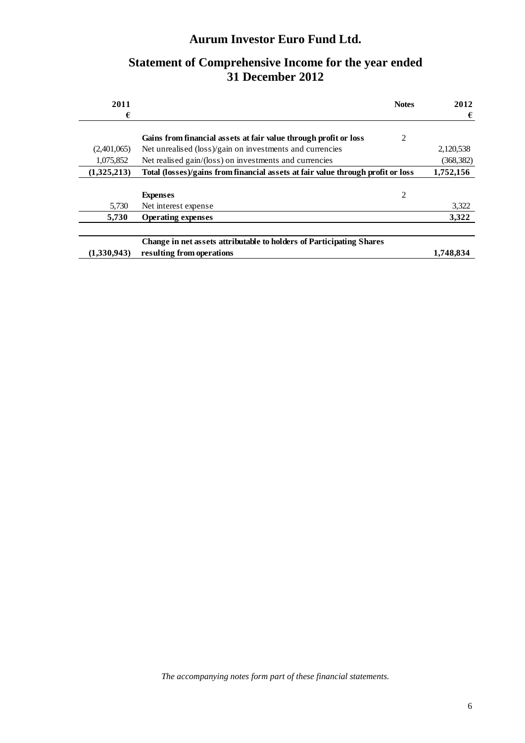# **Statement of Comprehensive Income for the year ended 31 December 2012**

| 2011        |                                                                                 | <b>Notes</b> | 2012       |
|-------------|---------------------------------------------------------------------------------|--------------|------------|
| €           |                                                                                 |              | €          |
|             |                                                                                 |              |            |
|             | Gains from financial assets at fair value through profit or loss                | 2            |            |
| (2,401,065) | Net unrealised (loss)/gain on investments and currencies                        |              | 2,120,538  |
| 1,075,852   | Net realised gain/(loss) on investments and currencies                          |              | (368, 382) |
| (1,325,213) | Total (losses)/gains from financial assets at fair value through profit or loss |              | 1,752,156  |
|             |                                                                                 |              |            |
|             | <b>Expenses</b>                                                                 | 2            |            |
| 5,730       | Net interest expense                                                            |              | 3,322      |
| 5,730       | <b>Operating expenses</b>                                                       |              | 3,322      |
|             |                                                                                 |              |            |
|             | Change in net assets attributable to holders of Participating Shares            |              |            |
| (1,330,943) | resulting from operations                                                       |              | 1,748,834  |

*The accompanying notes form part of these financial statements.*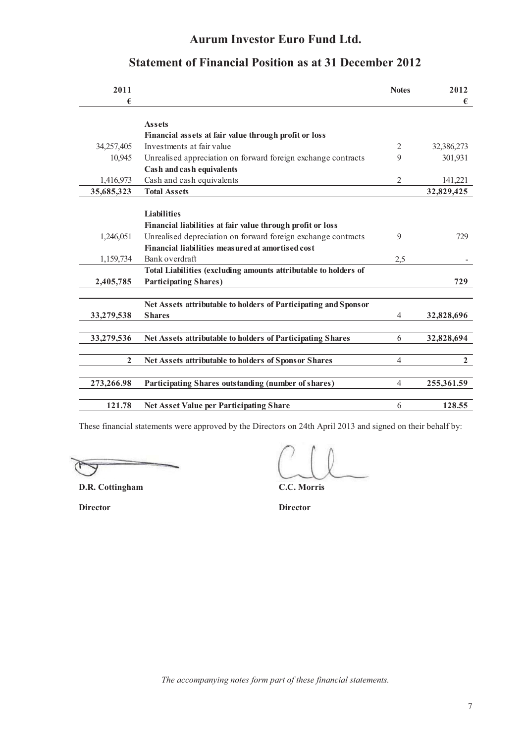#### 2011 2012 **Notes**  $\pmb{\epsilon}$ € **Assets** Financial assets at fair value through profit or loss 34,257,405 Investments at fair value  $\overline{2}$ 32,386,273 9 10,945 Unrealised appreciation on forward foreign exchange contracts 301,931 Cash and cash equivalents 1,416,973 141.221 Cash and cash equivalents  $\overline{2}$ 35,685,323 **Total Assets** 32,829,425 **Liabilities** Financial liabilities at fair value through profit or loss  $\overline{9}$ 1,246,051 Unrealised depreciation on forward foreign exchange contracts 729 Financial liabilities measured at amortised cost 1,159,734 Bank overdraft 2.5  $\sim$ Total Liabilities (excluding amounts attributable to holders of 2,405,785 **Participating Shares)** 729 Net Assets attributable to holders of Participating and Sponsor 33,279,538 **Shares**  $\overline{4}$ 32,828,696 33,279,536 Net Assets attributable to holders of Participating Shares 6 32,828,694  $\overline{2}$ Net Assets attributable to holders of Sponsor Shares  $\overline{4}$  $\overline{2}$ 273,266.98 Participating Shares outstanding (number of shares)  $\overline{4}$ 255,361.59 121.78 **Net Asset Value per Participating Share** 6 128.55

### **Statement of Financial Position as at 31 December 2012**

These financial statements were approved by the Directors on 24th April 2013 and signed on their behalf by:

D.R. Cottingham

C.C. Morris

**Director** 

**Director** 

The accompanying notes form part of these financial statements.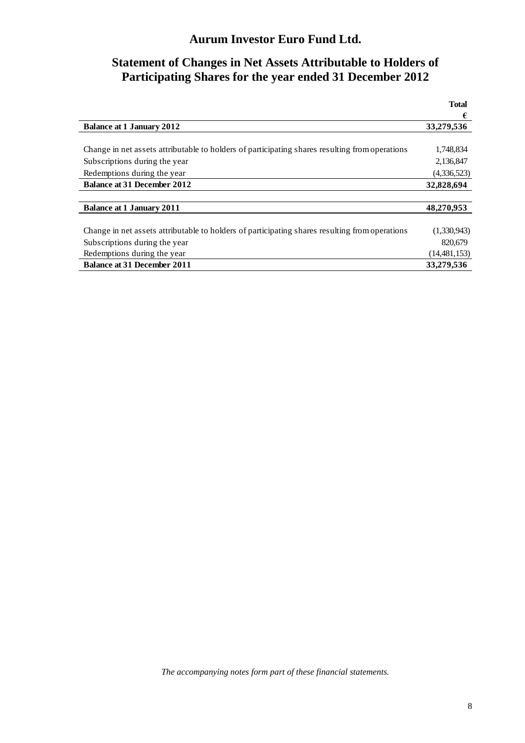# **Statement of Changes in Net Assets Attributable to Holders of Participating Shares for the year ended 31 December 2012**

|                                                                                                | <b>Total</b>   |
|------------------------------------------------------------------------------------------------|----------------|
|                                                                                                | €              |
| <b>Balance at 1 January 2012</b>                                                               | 33,279,536     |
|                                                                                                |                |
| Change in net assets attributable to holders of participating shares resulting from operations | 1,748,834      |
| Subscriptions during the year                                                                  | 2,136,847      |
| Redemptions during the year                                                                    | (4,336,523)    |
| <b>Balance at 31 December 2012</b>                                                             | 32,828,694     |
|                                                                                                |                |
| <b>Balance at 1 January 2011</b>                                                               | 48,270,953     |
|                                                                                                |                |
| Change in net assets attributable to holders of participating shares resulting from operations | (1,330,943)    |
| Subscriptions during the year                                                                  | 820,679        |
| Redemptions during the year                                                                    | (14, 481, 153) |
| <b>Balance at 31 December 2011</b>                                                             | 33,279,536     |

*The accompanying notes form part of these financial statements.*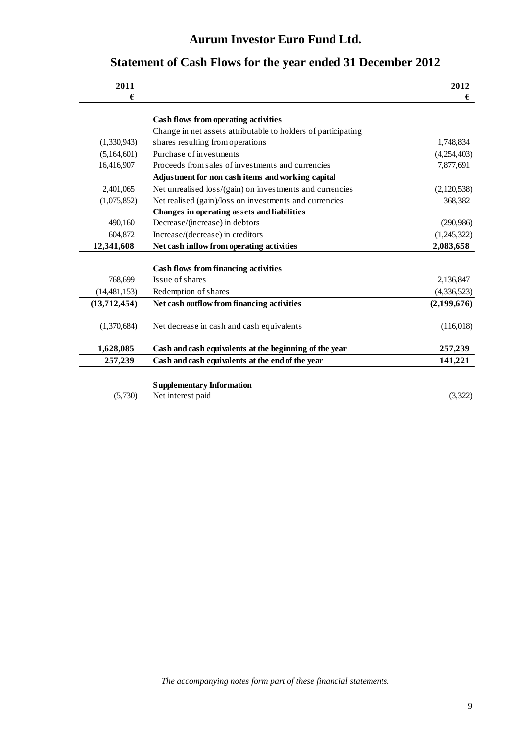# **Statement of Cash Flows for the year ended 31 December 2012**

| 2011           |                                                               | 2012        |
|----------------|---------------------------------------------------------------|-------------|
| €              |                                                               | €           |
|                | Cash flows from operating activities                          |             |
|                | Change in net assets attributable to holders of participating |             |
| (1,330,943)    | shares resulting from operations                              | 1,748,834   |
| (5,164,601)    | Purchase of investments                                       | (4,254,403) |
| 16,416,907     | Proceeds from sales of investments and currencies             | 7,877,691   |
|                | Adjustment for non cash items and working capital             |             |
| 2,401,065      | Net unrealised loss/(gain) on investments and currencies      | (2,120,538) |
| (1,075,852)    | Net realised (gain)/loss on investments and currencies        | 368,382     |
|                | Changes in operating assets and liabilities                   |             |
| 490,160        | Decrease/(increase) in debtors                                | (290, 986)  |
| 604,872        | Increase/(decrease) in creditors                              | (1,245,322) |
| 12,341,608     | Net cash inflow from operating activities                     | 2,083,658   |
|                |                                                               |             |
|                | Cash flows from financing activities                          |             |
| 768,699        | Issue of shares                                               | 2,136,847   |
| (14, 481, 153) | Redemption of shares                                          | (4,336,523) |
| (13, 712, 454) | Net cash outflow from financing activities                    | (2,199,676) |
|                |                                                               |             |
| (1,370,684)    | Net decrease in cash and cash equivalents                     | (116,018)   |
|                |                                                               |             |
| 1,628,085      | Cash and cash equivalents at the beginning of the year        | 257,239     |
| 257,239        | Cash and cash equivalents at the end of the year              | 141,221     |
|                |                                                               |             |
|                | <b>Supplementary Information</b>                              |             |
| (5,730)        | Net interest paid                                             | (3,322)     |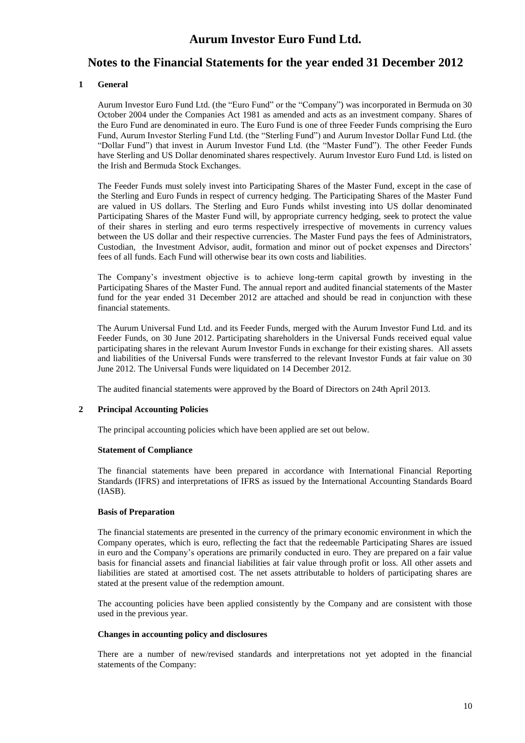### **Notes to the Financial Statements for the year ended 31 December 2012**

#### **1 General**

Aurum Investor Euro Fund Ltd. (the "Euro Fund" or the "Company") was incorporated in Bermuda on 30 October 2004 under the Companies Act 1981 as amended and acts as an investment company. Shares of the Euro Fund are denominated in euro. The Euro Fund is one of three Feeder Funds comprising the Euro Fund, Aurum Investor Sterling Fund Ltd. (the "Sterling Fund") and Aurum Investor Dollar Fund Ltd. (the "Dollar Fund") that invest in Aurum Investor Fund Ltd. (the "Master Fund"). The other Feeder Funds have Sterling and US Dollar denominated shares respectively. Aurum Investor Euro Fund Ltd. is listed on the Irish and Bermuda Stock Exchanges.

The Feeder Funds must solely invest into Participating Shares of the Master Fund, except in the case of the Sterling and Euro Funds in respect of currency hedging. The Participating Shares of the Master Fund are valued in US dollars. The Sterling and Euro Funds whilst investing into US dollar denominated Participating Shares of the Master Fund will, by appropriate currency hedging, seek to protect the value of their shares in sterling and euro terms respectively irrespective of movements in currency values between the US dollar and their respective currencies. The Master Fund pays the fees of Administrators, Custodian, the Investment Advisor, audit, formation and minor out of pocket expenses and Directors' fees of all funds. Each Fund will otherwise bear its own costs and liabilities.

The Company's investment objective is to achieve long-term capital growth by investing in the Participating Shares of the Master Fund. The annual report and audited financial statements of the Master fund for the year ended 31 December 2012 are attached and should be read in conjunction with these financial statements.

The Aurum Universal Fund Ltd. and its Feeder Funds, merged with the Aurum Investor Fund Ltd. and its Feeder Funds, on 30 June 2012. Participating shareholders in the Universal Funds received equal value participating shares in the relevant Aurum Investor Funds in exchange for their existing shares. All assets and liabilities of the Universal Funds were transferred to the relevant Investor Funds at fair value on 30 June 2012. The Universal Funds were liquidated on 14 December 2012.

The audited financial statements were approved by the Board of Directors on 24th April 2013.

#### **2 Principal Accounting Policies**

The principal accounting policies which have been applied are set out below.

#### **Statement of Compliance**

The financial statements have been prepared in accordance with International Financial Reporting Standards (IFRS) and interpretations of IFRS as issued by the International Accounting Standards Board (IASB).

#### **Basis of Preparation**

The financial statements are presented in the currency of the primary economic environment in which the Company operates, which is euro, reflecting the fact that the redeemable Participating Shares are issued in euro and the Company's operations are primarily conducted in euro. They are prepared on a fair value basis for financial assets and financial liabilities at fair value through profit or loss. All other assets and liabilities are stated at amortised cost. The net assets attributable to holders of participating shares are stated at the present value of the redemption amount.

The accounting policies have been applied consistently by the Company and are consistent with those used in the previous year.

#### **Changes in accounting policy and disclosures**

There are a number of new/revised standards and interpretations not yet adopted in the financial statements of the Company: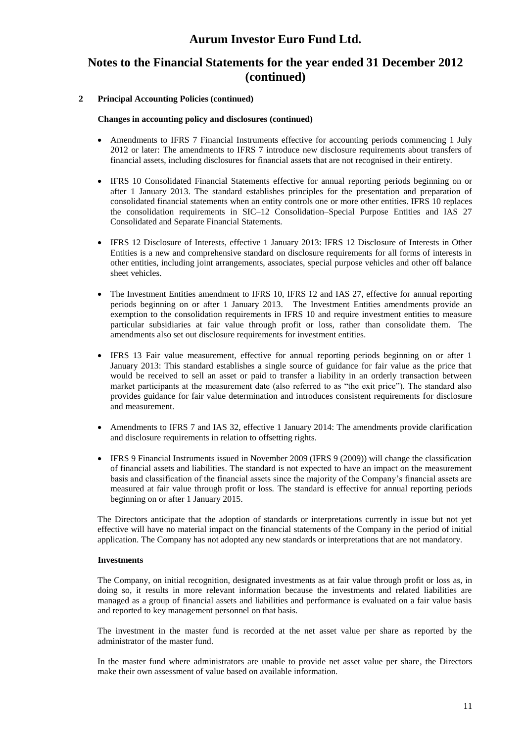# **Notes to the Financial Statements for the year ended 31 December 2012 (continued)**

#### **2 Principal Accounting Policies (continued)**

#### **Changes in accounting policy and disclosures (continued)**

- Amendments to IFRS 7 Financial Instruments effective for accounting periods commencing 1 July 2012 or later: The amendments to IFRS 7 introduce new disclosure requirements about transfers of financial assets, including disclosures for financial assets that are not recognised in their entirety.
- IFRS 10 Consolidated Financial Statements effective for annual reporting periods beginning on or after 1 January 2013. The standard establishes principles for the presentation and preparation of consolidated financial statements when an entity controls one or more other entities. IFRS 10 replaces the consolidation requirements in SIC–12 Consolidation–Special Purpose Entities and IAS 27 Consolidated and Separate Financial Statements.
- IFRS 12 Disclosure of Interests, effective 1 January 2013: IFRS 12 Disclosure of Interests in Other Entities is a new and comprehensive standard on disclosure requirements for all forms of interests in other entities, including joint arrangements, associates, special purpose vehicles and other off balance sheet vehicles.
- The Investment Entities amendment to IFRS 10, IFRS 12 and IAS 27, effective for annual reporting periods beginning on or after 1 January 2013. The Investment Entities amendments provide an exemption to the consolidation requirements in IFRS 10 and require investment entities to measure particular subsidiaries at fair value through profit or loss, rather than consolidate them. The amendments also set out disclosure requirements for investment entities.
- IFRS 13 Fair value measurement, effective for annual reporting periods beginning on or after 1 January 2013: This standard establishes a single source of guidance for fair value as the price that would be received to sell an asset or paid to transfer a liability in an orderly transaction between market participants at the measurement date (also referred to as "the exit price"). The standard also provides guidance for fair value determination and introduces consistent requirements for disclosure and measurement.
- Amendments to IFRS 7 and IAS 32, effective 1 January 2014: The amendments provide clarification and disclosure requirements in relation to offsetting rights.
- IFRS 9 Financial Instruments issued in November 2009 (IFRS 9 (2009)) will change the classification of financial assets and liabilities. The standard is not expected to have an impact on the measurement basis and classification of the financial assets since the majority of the Company's financial assets are measured at fair value through profit or loss. The standard is effective for annual reporting periods beginning on or after 1 January 2015.

The Directors anticipate that the adoption of standards or interpretations currently in issue but not yet effective will have no material impact on the financial statements of the Company in the period of initial application. The Company has not adopted any new standards or interpretations that are not mandatory.

#### **Investments**

The Company, on initial recognition, designated investments as at fair value through profit or loss as, in doing so, it results in more relevant information because the investments and related liabilities are managed as a group of financial assets and liabilities and performance is evaluated on a fair value basis and reported to key management personnel on that basis.

The investment in the master fund is recorded at the net asset value per share as reported by the administrator of the master fund.

In the master fund where administrators are unable to provide net asset value per share, the Directors make their own assessment of value based on available information.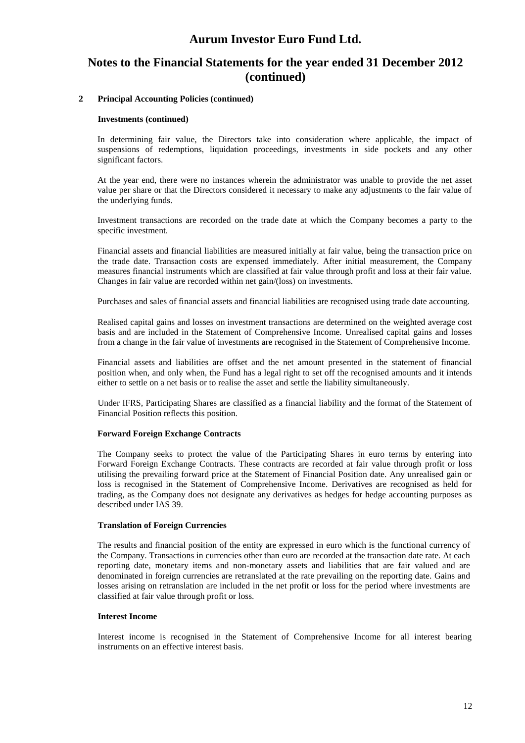# **Notes to the Financial Statements for the year ended 31 December 2012 (continued)**

#### **2 Principal Accounting Policies (continued)**

#### **Investments (continued)**

In determining fair value, the Directors take into consideration where applicable, the impact of suspensions of redemptions, liquidation proceedings, investments in side pockets and any other significant factors.

At the year end, there were no instances wherein the administrator was unable to provide the net asset value per share or that the Directors considered it necessary to make any adjustments to the fair value of the underlying funds.

Investment transactions are recorded on the trade date at which the Company becomes a party to the specific investment.

Financial assets and financial liabilities are measured initially at fair value, being the transaction price on the trade date. Transaction costs are expensed immediately. After initial measurement, the Company measures financial instruments which are classified at fair value through profit and loss at their fair value. Changes in fair value are recorded within net gain/(loss) on investments.

Purchases and sales of financial assets and financial liabilities are recognised using trade date accounting.

Realised capital gains and losses on investment transactions are determined on the weighted average cost basis and are included in the Statement of Comprehensive Income. Unrealised capital gains and losses from a change in the fair value of investments are recognised in the Statement of Comprehensive Income.

Financial assets and liabilities are offset and the net amount presented in the statement of financial position when, and only when, the Fund has a legal right to set off the recognised amounts and it intends either to settle on a net basis or to realise the asset and settle the liability simultaneously.

Under IFRS, Participating Shares are classified as a financial liability and the format of the Statement of Financial Position reflects this position.

#### **Forward Foreign Exchange Contracts**

The Company seeks to protect the value of the Participating Shares in euro terms by entering into Forward Foreign Exchange Contracts. These contracts are recorded at fair value through profit or loss utilising the prevailing forward price at the Statement of Financial Position date. Any unrealised gain or loss is recognised in the Statement of Comprehensive Income. Derivatives are recognised as held for trading, as the Company does not designate any derivatives as hedges for hedge accounting purposes as described under IAS 39.

#### **Translation of Foreign Currencies**

The results and financial position of the entity are expressed in euro which is the functional currency of the Company. Transactions in currencies other than euro are recorded at the transaction date rate. At each reporting date, monetary items and non-monetary assets and liabilities that are fair valued and are denominated in foreign currencies are retranslated at the rate prevailing on the reporting date. Gains and losses arising on retranslation are included in the net profit or loss for the period where investments are classified at fair value through profit or loss.

#### **Interest Income**

Interest income is recognised in the Statement of Comprehensive Income for all interest bearing instruments on an effective interest basis.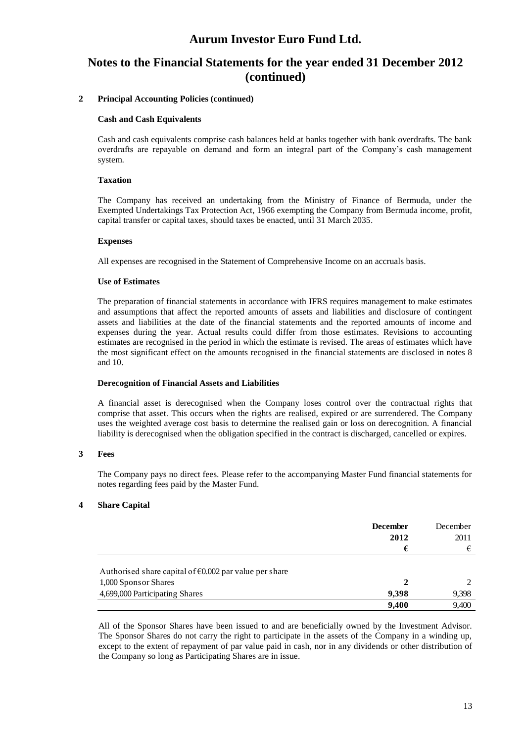# **Notes to the Financial Statements for the year ended 31 December 2012 (continued)**

#### **2 Principal Accounting Policies (continued)**

#### **Cash and Cash Equivalents**

Cash and cash equivalents comprise cash balances held at banks together with bank overdrafts. The bank overdrafts are repayable on demand and form an integral part of the Company's cash management system.

#### **Taxation**

The Company has received an undertaking from the Ministry of Finance of Bermuda, under the Exempted Undertakings Tax Protection Act, 1966 exempting the Company from Bermuda income, profit, capital transfer or capital taxes, should taxes be enacted, until 31 March 2035.

#### **Expenses**

All expenses are recognised in the Statement of Comprehensive Income on an accruals basis.

#### **Use of Estimates**

The preparation of financial statements in accordance with IFRS requires management to make estimates and assumptions that affect the reported amounts of assets and liabilities and disclosure of contingent assets and liabilities at the date of the financial statements and the reported amounts of income and expenses during the year. Actual results could differ from those estimates. Revisions to accounting estimates are recognised in the period in which the estimate is revised. The areas of estimates which have the most significant effect on the amounts recognised in the financial statements are disclosed in notes 8 and 10.

#### **Derecognition of Financial Assets and Liabilities**

A financial asset is derecognised when the Company loses control over the contractual rights that comprise that asset. This occurs when the rights are realised, expired or are surrendered. The Company uses the weighted average cost basis to determine the realised gain or loss on derecognition. A financial liability is derecognised when the obligation specified in the contract is discharged, cancelled or expires.

#### **3 Fees**

The Company pays no direct fees. Please refer to the accompanying Master Fund financial statements for notes regarding fees paid by the Master Fund.

#### **4 Share Capital**

|                                                                                                                            | <b>December</b> | December  |
|----------------------------------------------------------------------------------------------------------------------------|-----------------|-----------|
|                                                                                                                            | 2012<br>€       | 2011<br>€ |
| Authorised share capital of $\epsilon$ 0.002 par value per share<br>1,000 Sponsor Shares<br>4,699,000 Participating Shares | 2<br>9.398      | 9,398     |
|                                                                                                                            | 9,400           | 9,400     |

All of the Sponsor Shares have been issued to and are beneficially owned by the Investment Advisor. The Sponsor Shares do not carry the right to participate in the assets of the Company in a winding up, except to the extent of repayment of par value paid in cash, nor in any dividends or other distribution of the Company so long as Participating Shares are in issue.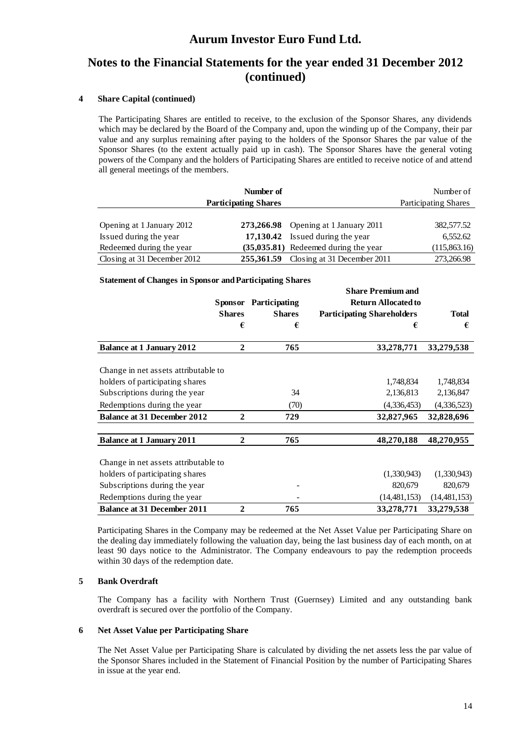# **Notes to the Financial Statements for the year ended 31 December 2012 (continued)**

#### **4 Share Capital (continued)**

The Participating Shares are entitled to receive, to the exclusion of the Sponsor Shares, any dividends which may be declared by the Board of the Company and, upon the winding up of the Company, their par value and any surplus remaining after paying to the holders of the Sponsor Shares the par value of the Sponsor Shares (to the extent actually paid up in cash). The Sponsor Shares have the general voting powers of the Company and the holders of Participating Shares are entitled to receive notice of and attend all general meetings of the members.

|                             | Number of                   |                                        | Number of                   |
|-----------------------------|-----------------------------|----------------------------------------|-----------------------------|
|                             | <b>Participating Shares</b> |                                        | <b>Participating Shares</b> |
|                             |                             |                                        |                             |
| Opening at 1 January 2012   |                             | 273,266.98 Opening at 1 January 2011   | 382,577.52                  |
| Issued during the year      |                             | 17,130.42 Issued during the year       | 6,552.62                    |
| Redeemed during the year    |                             | $(35,035.81)$ Redeemed during the year | (115,863.16)                |
| Closing at 31 December 2012 | 255,361.59                  | Closing at 31 December 2011            | 273,266.98                  |

#### **Statement of Changes in Sponsor and Participating Shares**

|                                      |                |               | <b>Share Premium and</b>          |                |
|--------------------------------------|----------------|---------------|-----------------------------------|----------------|
|                                      | <b>Sponsor</b> | Participating | <b>Return Allocated to</b>        |                |
|                                      | <b>Shares</b>  | <b>Shares</b> | <b>Participating Shareholders</b> | <b>Total</b>   |
|                                      | €              | €             | €                                 | €              |
| <b>Balance at 1 January 2012</b>     | $\overline{2}$ | 765           | 33,278,771                        | 33,279,538     |
| Change in net assets attributable to |                |               |                                   |                |
| holders of participating shares      |                |               | 1,748,834                         | 1,748,834      |
| Subscriptions during the year        |                | 34            | 2,136,813                         | 2,136,847      |
| Redemptions during the year          |                | (70)          | (4,336,453)                       | (4,336,523)    |
|                                      |                |               |                                   |                |
| <b>Balance at 31 December 2012</b>   | $\mathbf{2}$   | 729           | 32,827,965                        | 32,828,696     |
| <b>Balance at 1 January 2011</b>     | $\overline{2}$ | 765           | 48,270,188                        | 48,270,955     |
|                                      |                |               |                                   |                |
| Change in net assets attributable to |                |               |                                   |                |
| holders of participating shares      |                |               | (1,330,943)                       | (1,330,943)    |
| Subscriptions during the year        |                |               | 820,679                           | 820,679        |
| Redemptions during the year          |                |               | (14, 481, 153)                    | (14, 481, 153) |
| <b>Balance at 31 December 2011</b>   | $\mathbf{2}$   | 765           | 33,278,771                        | 33,279,538     |

Participating Shares in the Company may be redeemed at the Net Asset Value per Participating Share on the dealing day immediately following the valuation day, being the last business day of each month, on at least 90 days notice to the Administrator. The Company endeavours to pay the redemption proceeds within 30 days of the redemption date.

#### **5 Bank Overdraft**

The Company has a facility with Northern Trust (Guernsey) Limited and any outstanding bank overdraft is secured over the portfolio of the Company.

#### **6 Net Asset Value per Participating Share**

The Net Asset Value per Participating Share is calculated by dividing the net assets less the par value of the Sponsor Shares included in the Statement of Financial Position by the number of Participating Shares in issue at the year end.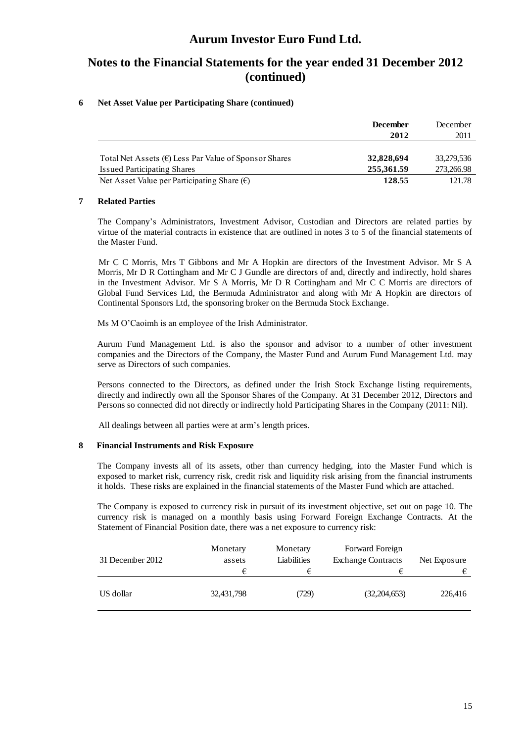# **Notes to the Financial Statements for the year ended 31 December 2012 (continued)**

#### **6 Net Asset Value per Participating Share (continued)**

|                                                                | <b>December</b> | December   |
|----------------------------------------------------------------|-----------------|------------|
|                                                                | 2012            | 2011       |
|                                                                |                 |            |
| Total Net Assets $(\epsilon)$ Less Par Value of Sponsor Shares | 32,828,694      | 33,279,536 |
| <b>Issued Participating Shares</b>                             | 255,361.59      | 273,266.98 |
| Net Asset Value per Participating Share $(\epsilon)$           | 128.55          | 121.78     |

#### **7 Related Parties**

The Company's Administrators, Investment Advisor, Custodian and Directors are related parties by virtue of the material contracts in existence that are outlined in notes 3 to 5 of the financial statements of the Master Fund.

Mr C C Morris, Mrs T Gibbons and Mr A Hopkin are directors of the Investment Advisor. Mr S A Morris, Mr D R Cottingham and Mr C J Gundle are directors of and, directly and indirectly, hold shares in the Investment Advisor. Mr S A Morris, Mr D R Cottingham and Mr C C Morris are directors of Global Fund Services Ltd, the Bermuda Administrator and along with Mr A Hopkin are directors of Continental Sponsors Ltd, the sponsoring broker on the Bermuda Stock Exchange.

Ms M O'Caoimh is an employee of the Irish Administrator.

Aurum Fund Management Ltd. is also the sponsor and advisor to a number of other investment companies and the Directors of the Company, the Master Fund and Aurum Fund Management Ltd. may serve as Directors of such companies.

Persons connected to the Directors, as defined under the Irish Stock Exchange listing requirements, directly and indirectly own all the Sponsor Shares of the Company. At 31 December 2012, Directors and Persons so connected did not directly or indirectly hold Participating Shares in the Company (2011: Nil).

All dealings between all parties were at arm's length prices.

#### **8 Financial Instruments and Risk Exposure**

The Company invests all of its assets, other than currency hedging, into the Master Fund which is exposed to market risk, currency risk, credit risk and liquidity risk arising from the financial instruments it holds. These risks are explained in the financial statements of the Master Fund which are attached.

The Company is exposed to currency risk in pursuit of its investment objective, set out on page 10. The currency risk is managed on a monthly basis using Forward Foreign Exchange Contracts. At the Statement of Financial Position date, there was a net exposure to currency risk:

| 31 December 2012 | Monetary<br>assets<br>₽ | Monetary<br>Liabilities<br>€ | Forward Foreign<br><b>Exchange Contracts</b> | Net Exposure |
|------------------|-------------------------|------------------------------|----------------------------------------------|--------------|
| US dollar        | 32,431,798              | (729)                        | (32,204,653)                                 | 226,416      |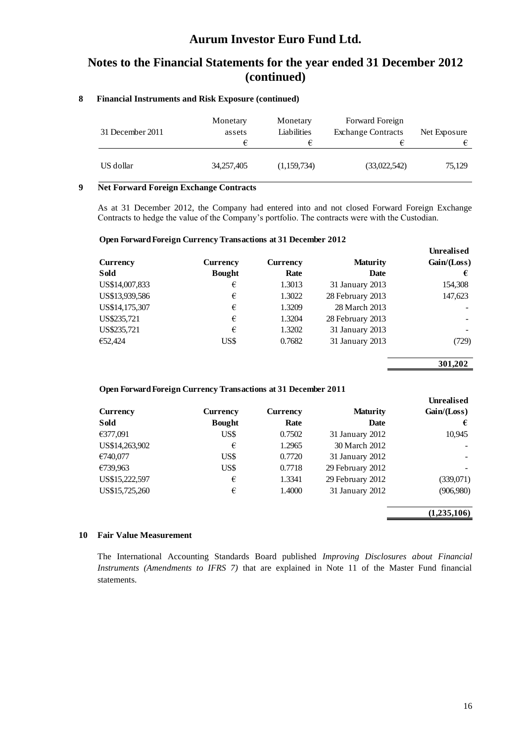# **Notes to the Financial Statements for the year ended 31 December 2012 (continued)**

#### **8 Financial Instruments and Risk Exposure (continued)**

| 31 December 2011 | Monetary<br>assets<br>€ | Monetary<br>Liabilities | Forward Foreign<br><b>Exchange Contracts</b> | Net Exposure<br>€ |
|------------------|-------------------------|-------------------------|----------------------------------------------|-------------------|
| US dollar        | 34,257,405              | (1,159,734)             | (33,022,542)                                 | 75,129            |

#### **9 Net Forward Foreign Exchange Contracts**

As at 31 December 2012, the Company had entered into and not closed Forward Foreign Exchange Contracts to hedge the value of the Company's portfolio. The contracts were with the Custodian.

#### **Open Forward Foreign Currency Transactions at 31 December 2012**

|                |                 |          |                  | <b>Unrealised</b> |
|----------------|-----------------|----------|------------------|-------------------|
| Currency       | <b>Currency</b> | Currency | <b>Maturity</b>  | Gain / (Loss)     |
| Sold           | <b>Bought</b>   | Rate     | Date             | €                 |
| US\$14,007,833 | €               | 1.3013   | 31 January 2013  | 154,308           |
| US\$13,939,586 | €               | 1.3022   | 28 February 2013 | 147,623           |
| US\$14,175,307 | €               | 1.3209   | 28 March 2013    |                   |
| US\$235,721    | €               | 1.3204   | 28 February 2013 |                   |
| US\$235,721    | €               | 1.3202   | 31 January 2013  |                   |
| €52,424        | US\$            | 0.7682   | 31 January 2013  | (729)             |

 **301,202**

**Unrealised**

#### **Open Forward Foreign Currency Transactions at 31 December 2011**

| <b>Currency</b> | <b>Currency</b> | <b>Currency</b> | <b>Maturity</b>  | Gain / (Loss) |
|-----------------|-----------------|-----------------|------------------|---------------|
| Sold            | <b>Bought</b>   | Rate            | <b>Date</b>      | €             |
| €377,091        | US\$            | 0.7502          | 31 January 2012  | 10,945        |
| US\$14,263,902  | €               | 1.2965          | 30 March 2012    |               |
| €740,077        | US\$            | 0.7720          | 31 January 2012  |               |
| €739,963        | US\$            | 0.7718          | 29 February 2012 |               |
| US\$15,222,597  | €               | 1.3341          | 29 February 2012 | (339,071)     |
| US\$15,725,260  | €               | 1.4000          | 31 January 2012  | (906, 980)    |
|                 |                 |                 |                  | (1,235,106)   |

#### **10 Fair Value Measurement**

The International Accounting Standards Board published *Improving Disclosures about Financial Instruments (Amendments to IFRS 7)* that are explained in Note 11 of the Master Fund financial statements.